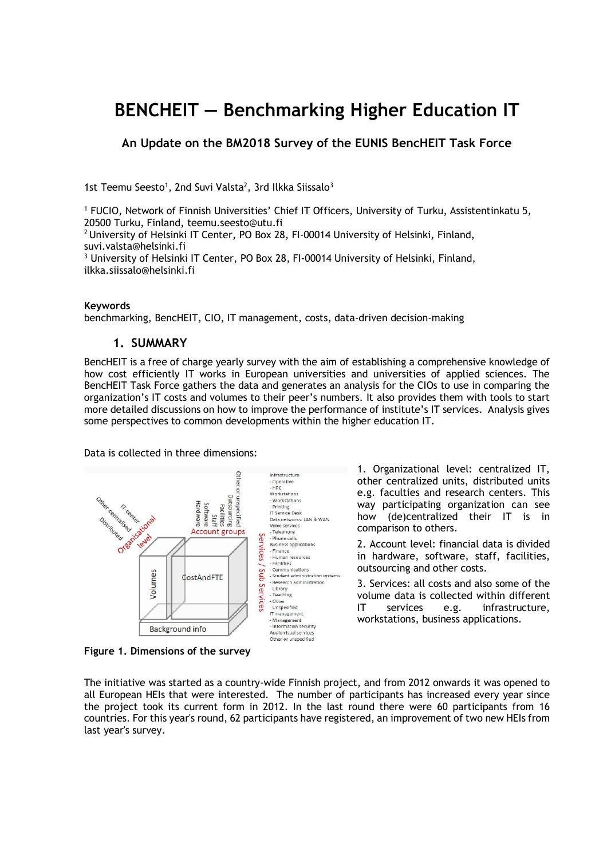# **BENCHEIT — Benchmarking Higher Education IT**

### **An Update on the BM2018 Survey of the EUNIS BencHEIT Task Force**

1st Teemu Seesto<sup>1</sup>, 2nd Suvi Valsta<sup>2</sup>, 3rd Ilkka Siissalo<sup>3</sup>

<sup>1</sup> FUCIO, Network of Finnish Universities' Chief IT Officers, University of Turku, Assistentinkatu 5, 20500 Turku, Finland, teemu.seesto@utu.fi

<sup>2</sup> University of Helsinki IT Center, PO Box 28, FI-00014 University of Helsinki, Finland, suvi.valsta@helsinki.fi

<sup>3</sup> University of Helsinki IT Center, PO Box 28, FI-00014 University of Helsinki, Finland, ilkka.siissalo@helsinki.fi

#### **Keywords**

benchmarking, BencHEIT, CIO, IT management, costs, data-driven decision-making

#### **1. SUMMARY**

BencHEIT is a free of charge yearly survey with the aim of establishing a comprehensive knowledge of how cost efficiently IT works in European universities and universities of applied sciences. The BencHEIT Task Force gathers the data and generates an analysis for the CIOs to use in comparing the organization's IT costs and volumes to their peer's numbers. It also provides them with tools to start more detailed discussions on how to improve the performance of institute's IT services. Analysis gives some perspectives to common developments within the higher education IT.

Data is collected in three dimensions:



**Figure 1. Dimensions of the survey**

1. Organizational level: centralized IT, other centralized units, distributed units e.g. faculties and research centers. This way participating organization can see how (de)centralized their IT is in comparison to others.

2. Account level: financial data is divided in hardware, software, staff, facilities, outsourcing and other costs.

3. Services: all costs and also some of the volume data is collected within different IT services e.g. infrastructure, workstations, business applications.

The initiative was started as a country-wide Finnish project, and from 2012 onwards it was opened to all European HEIs that were interested. The number of participants has increased every year since the project took its current form in 2012. In the last round there were 60 participants from 16 countries. For this year's round, 62 participants have registered, an improvement of two new HEIs from last year's survey.